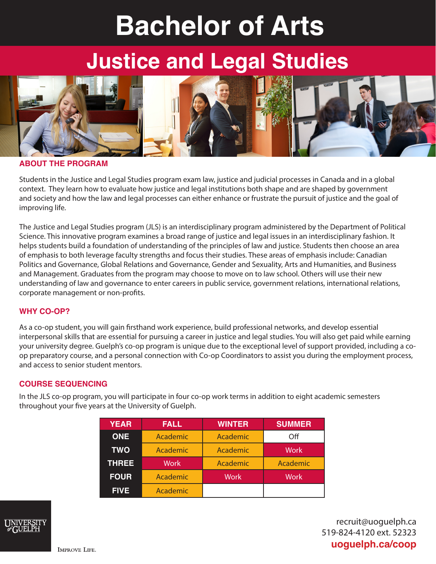# **Bachelor of Arts**

## **Justice and Legal Studies**



#### **ABOUT THE PROGRAM**

Students in the Justice and Legal Studies program exam law, justice and judicial processes in Canada and in a global context. They learn how to evaluate how justice and legal institutions both shape and are shaped by government and society and how the law and legal processes can either enhance or frustrate the pursuit of justice and the goal of improving life.

The Justice and Legal Studies program (JLS) is an interdisciplinary program administered by the Department of Political Science. This innovative program examines a broad range of justice and legal issues in an interdisciplinary fashion. It helps students build a foundation of understanding of the principles of law and justice. Students then choose an area of emphasis to both leverage faculty strengths and focus their studies. These areas of emphasis include: Canadian Politics and Governance, Global Relations and Governance, Gender and Sexuality, Arts and Humanities, and Business and Management. Graduates from the program may choose to move on to law school. Others will use their new understanding of law and governance to enter careers in public service, government relations, international relations, corporate management or non-profits.

#### **WHY CO-OP?**

As a co-op student, you will gain firsthand work experience, build professional networks, and develop essential interpersonal skills that are essential for pursuing a career in justice and legal studies. You will also get paid while earning your university degree. Guelph's co-op program is unique due to the exceptional level of support provided, including a coop preparatory course, and a personal connection with Co-op Coordinators to assist you during the employment process, and access to senior student mentors.

#### **COURSE SEQUENCING**

In the JLS co-op program, you will participate in four co-op work terms in addition to eight academic semesters throughout your five years at the University of Guelph.

| <b>YEAR</b>  | <b>FALL</b> | <b>WINTER</b> | <b>SUMMER</b> |
|--------------|-------------|---------------|---------------|
| <b>ONE</b>   | Academic    | Academic      | Off           |
| <b>TWO</b>   | Academic    | Academic      | <b>Work</b>   |
| <b>THREE</b> | <b>Work</b> | Academic      | Academic      |
| <b>FOUR</b>  | Academic    | <b>Work</b>   | <b>Work</b>   |
| <b>FIVE</b>  | Academic    |               |               |



recruit@uoguelph.ca 519-824-4120 ext. 52323 **uoguelph.ca/coop**